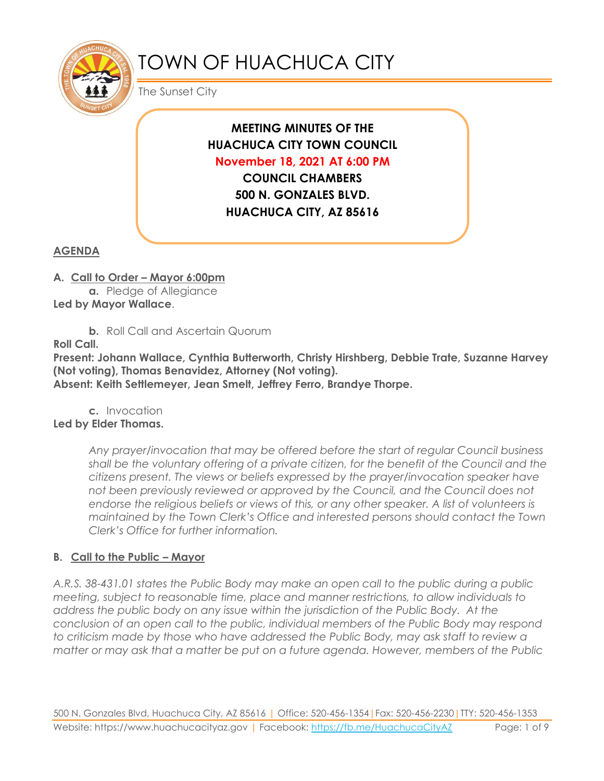

# TOWN OF HUACHUCA CITY

The Sunset City

# **MEETING MINUTES OF THE HUACHUCA CITY TOWN COUNCIL November 18, 2021 AT 6:00 PM**

**COUNCIL CHAMBERS 500 N. GONZALES BLVD. HUACHUCA CITY, AZ 85616**

# **AGENDA**

- **A. Call to Order – Mayor 6:00pm**
- **a.** Pledge of Allegiance **Led by Mayor Wallace**.
	- **b.** Roll Call and Ascertain Quorum

**Roll Call.**

**Present: Johann Wallace, Cynthia Butterworth, Christy Hirshberg, Debbie Trate, Suzanne Harvey (Not voting), Thomas Benavidez, Attorney (Not voting).**

**Absent: Keith Settlemeyer, Jean Smelt, Jeffrey Ferro, Brandye Thorpe.**

**c.** Invocation **Led by Elder Thomas.**

> *Any prayer/invocation that may be offered before the start of regular Council business shall be the voluntary offering of a private citizen, for the benefit of the Council and the citizens present. The views or beliefs expressed by the prayer/invocation speaker have not been previously reviewed or approved by the Council, and the Council does not endorse the religious beliefs or views of this, or any other speaker. A list of volunteers is maintained by the Town Clerk's Office and interested persons should contact the Town Clerk's Office for further information.*

# **B. Call to the Public – Mayor**

*A.R.S. 38-431.01 states the Public Body may make an open call to the public during a public meeting, subject to reasonable time, place and manner restrictions, to allow individuals to address the public body on any issue within the jurisdiction of the Public Body. At the conclusion of an open call to the public, individual members of the Public Body may respond to criticism made by those who have addressed the Public Body, may ask staff to review a matter or may ask that a matter be put on a future agenda. However, members of the Public*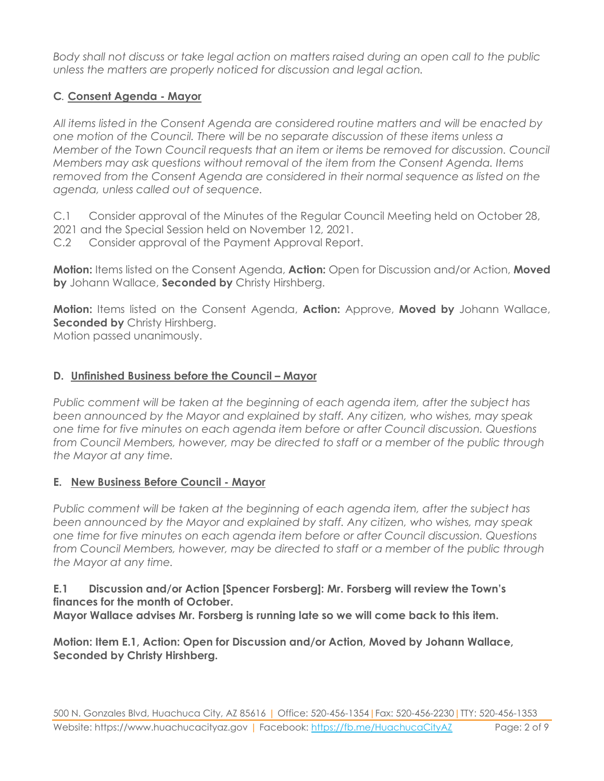*Body shall not discuss or take legal action on matters raised during an open call to the public unless the matters are properly noticed for discussion and legal action.*

# **C***.* **Consent Agenda - Mayor**

*All items listed in the Consent Agenda are considered routine matters and will be enacted by one motion of the Council. There will be no separate discussion of these items unless a Member of the Town Council requests that an item or items be removed for discussion. Council Members may ask questions without removal of the item from the Consent Agenda. Items removed from the Consent Agenda are considered in their normal sequence as listed on the agenda, unless called out of sequence.*

C.1 Consider approval of the Minutes of the Regular Council Meeting held on October 28,

- 2021 and the Special Session held on November 12, 2021.
- C.2 Consider approval of the Payment Approval Report.

**Motion:** Items listed on the Consent Agenda, **Action:** Open for Discussion and/or Action, **Moved by** Johann Wallace, **Seconded by** Christy Hirshberg.

**Motion:** Items listed on the Consent Agenda, **Action:** Approve, **Moved by** Johann Wallace, **Seconded by** Christy Hirshberg. Motion passed unanimously.

**D. Unfinished Business before the Council – Mayor**

*Public comment will be taken at the beginning of each agenda item, after the subject has been announced by the Mayor and explained by staff. Any citizen, who wishes, may speak one time for five minutes on each agenda item before or after Council discussion. Questions from Council Members, however, may be directed to staff or a member of the public through the Mayor at any time.*

# **E. New Business Before Council - Mayor**

*Public comment will be taken at the beginning of each agenda item, after the subject has been announced by the Mayor and explained by staff. Any citizen, who wishes, may speak one time for five minutes on each agenda item before or after Council discussion. Questions from Council Members, however, may be directed to staff or a member of the public through the Mayor at any time.*

# **E.1 Discussion and/or Action [Spencer Forsberg]: Mr. Forsberg will review the Town's finances for the month of October.**

**Mayor Wallace advises Mr. Forsberg is running late so we will come back to this item.**

**Motion: Item E.1, Action: Open for Discussion and/or Action, Moved by Johann Wallace, Seconded by Christy Hirshberg.**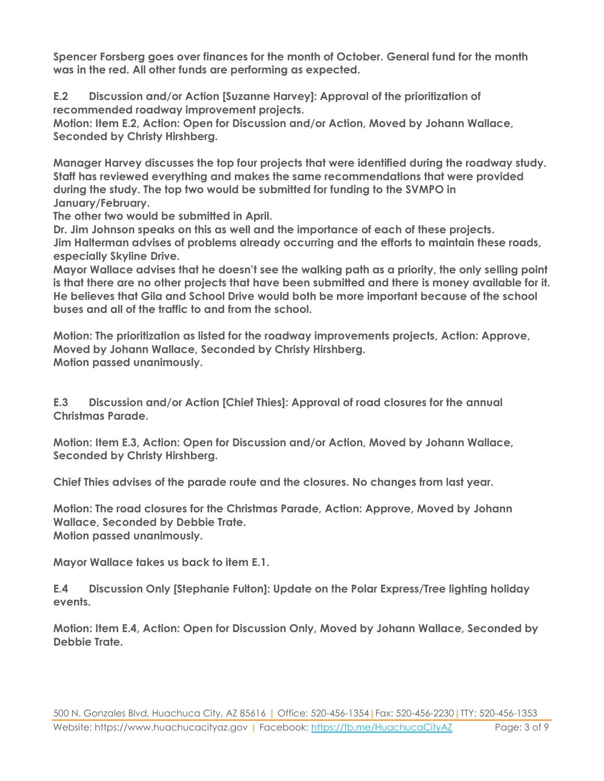**Spencer Forsberg goes over finances for the month of October. General fund for the month was in the red. All other funds are performing as expected.**

**E.2 Discussion and/or Action [Suzanne Harvey]: Approval of the prioritization of recommended roadway improvement projects. Motion: Item E.2, Action: Open for Discussion and/or Action, Moved by Johann Wallace, Seconded by Christy Hirshberg.**

**Manager Harvey discusses the top four projects that were identified during the roadway study. Staff has reviewed everything and makes the same recommendations that were provided during the study. The top two would be submitted for funding to the SVMPO in January/February.**

**The other two would be submitted in April.**

**Dr. Jim Johnson speaks on this as well and the importance of each of these projects. Jim Halterman advises of problems already occurring and the efforts to maintain these roads, especially Skyline Drive.**

**Mayor Wallace advises that he doesn't see the walking path as a priority, the only selling point is that there are no other projects that have been submitted and there is money available for it. He believes that Gila and School Drive would both be more important because of the school buses and all of the traffic to and from the school.**

**Motion: The prioritization as listed for the roadway improvements projects, Action: Approve, Moved by Johann Wallace, Seconded by Christy Hirshberg. Motion passed unanimously.**

**E.3 Discussion and/or Action [Chief Thies]: Approval of road closures for the annual Christmas Parade.**

**Motion: Item E.3, Action: Open for Discussion and/or Action, Moved by Johann Wallace, Seconded by Christy Hirshberg.**

**Chief Thies advises of the parade route and the closures. No changes from last year.**

**Motion: The road closures for the Christmas Parade, Action: Approve, Moved by Johann Wallace, Seconded by Debbie Trate. Motion passed unanimously.**

**Mayor Wallace takes us back to item E.1.**

**E.4 Discussion Only [Stephanie Fulton]: Update on the Polar Express/Tree lighting holiday events.**

**Motion: Item E.4, Action: Open for Discussion Only, Moved by Johann Wallace, Seconded by Debbie Trate.**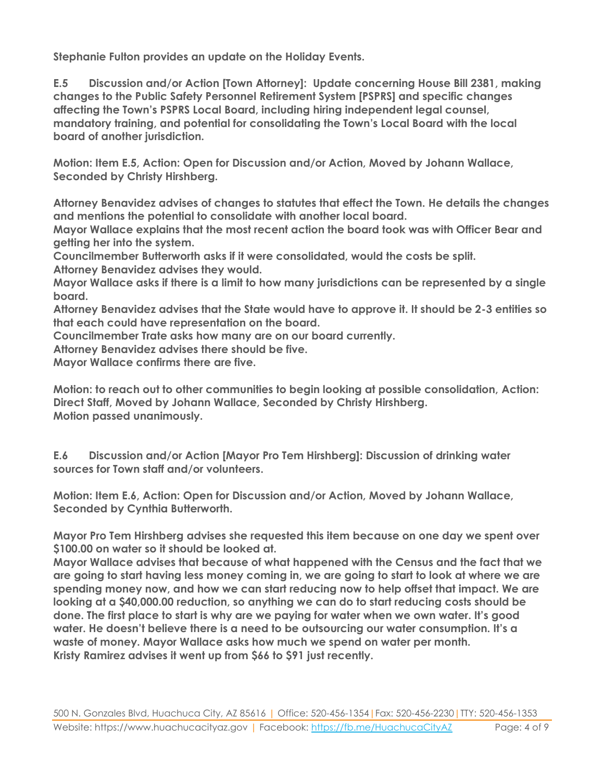**Stephanie Fulton provides an update on the Holiday Events.**

**E.5 Discussion and/or Action [Town Attorney]: Update concerning House Bill 2381, making changes to the Public Safety Personnel Retirement System [PSPRS] and specific changes affecting the Town's PSPRS Local Board, including hiring independent legal counsel, mandatory training, and potential for consolidating the Town's Local Board with the local board of another jurisdiction.**

**Motion: Item E.5, Action: Open for Discussion and/or Action, Moved by Johann Wallace, Seconded by Christy Hirshberg.**

**Attorney Benavidez advises of changes to statutes that effect the Town. He details the changes and mentions the potential to consolidate with another local board.** 

**Mayor Wallace explains that the most recent action the board took was with Officer Bear and getting her into the system.**

**Councilmember Butterworth asks if it were consolidated, would the costs be split. Attorney Benavidez advises they would.**

**Mayor Wallace asks if there is a limit to how many jurisdictions can be represented by a single board.**

**Attorney Benavidez advises that the State would have to approve it. It should be 2-3 entities so that each could have representation on the board.**

**Councilmember Trate asks how many are on our board currently.**

**Attorney Benavidez advises there should be five.**

**Mayor Wallace confirms there are five.**

**Motion: to reach out to other communities to begin looking at possible consolidation, Action: Direct Staff, Moved by Johann Wallace, Seconded by Christy Hirshberg. Motion passed unanimously.**

**E.6 Discussion and/or Action [Mayor Pro Tem Hirshberg]: Discussion of drinking water sources for Town staff and/or volunteers.** 

**Motion: Item E.6, Action: Open for Discussion and/or Action, Moved by Johann Wallace, Seconded by Cynthia Butterworth.**

**Mayor Pro Tem Hirshberg advises she requested this item because on one day we spent over \$100.00 on water so it should be looked at.**

**Mayor Wallace advises that because of what happened with the Census and the fact that we are going to start having less money coming in, we are going to start to look at where we are spending money now, and how we can start reducing now to help offset that impact. We are looking at a \$40,000.00 reduction, so anything we can do to start reducing costs should be done. The first place to start is why are we paying for water when we own water. It's good water. He doesn't believe there is a need to be outsourcing our water consumption. It's a waste of money. Mayor Wallace asks how much we spend on water per month. Kristy Ramirez advises it went up from \$66 to \$91 just recently.**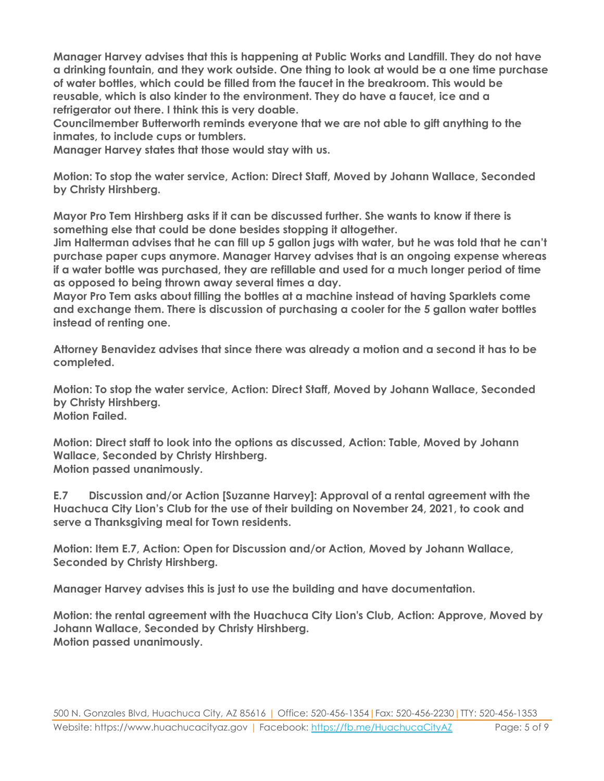**Manager Harvey advises that this is happening at Public Works and Landfill. They do not have a drinking fountain, and they work outside. One thing to look at would be a one time purchase of water bottles, which could be filled from the faucet in the breakroom. This would be reusable, which is also kinder to the environment. They do have a faucet, ice and a refrigerator out there. I think this is very doable.** 

**Councilmember Butterworth reminds everyone that we are not able to gift anything to the inmates, to include cups or tumblers.**

**Manager Harvey states that those would stay with us.**

**Motion: To stop the water service, Action: Direct Staff, Moved by Johann Wallace, Seconded by Christy Hirshberg.**

**Mayor Pro Tem Hirshberg asks if it can be discussed further. She wants to know if there is something else that could be done besides stopping it altogether.**

**Jim Halterman advises that he can fill up 5 gallon jugs with water, but he was told that he can't purchase paper cups anymore. Manager Harvey advises that is an ongoing expense whereas if a water bottle was purchased, they are refillable and used for a much longer period of time as opposed to being thrown away several times a day.**

**Mayor Pro Tem asks about filling the bottles at a machine instead of having Sparklets come and exchange them. There is discussion of purchasing a cooler for the 5 gallon water bottles instead of renting one.**

**Attorney Benavidez advises that since there was already a motion and a second it has to be completed.**

**Motion: To stop the water service, Action: Direct Staff, Moved by Johann Wallace, Seconded by Christy Hirshberg. Motion Failed.**

**Motion: Direct staff to look into the options as discussed, Action: Table, Moved by Johann Wallace, Seconded by Christy Hirshberg. Motion passed unanimously.**

**E.7 Discussion and/or Action [Suzanne Harvey]: Approval of a rental agreement with the Huachuca City Lion's Club for the use of their building on November 24, 2021, to cook and serve a Thanksgiving meal for Town residents.**

**Motion: Item E.7, Action: Open for Discussion and/or Action, Moved by Johann Wallace, Seconded by Christy Hirshberg.**

**Manager Harvey advises this is just to use the building and have documentation.**

**Motion: the rental agreement with the Huachuca City Lion's Club, Action: Approve, Moved by Johann Wallace, Seconded by Christy Hirshberg. Motion passed unanimously.**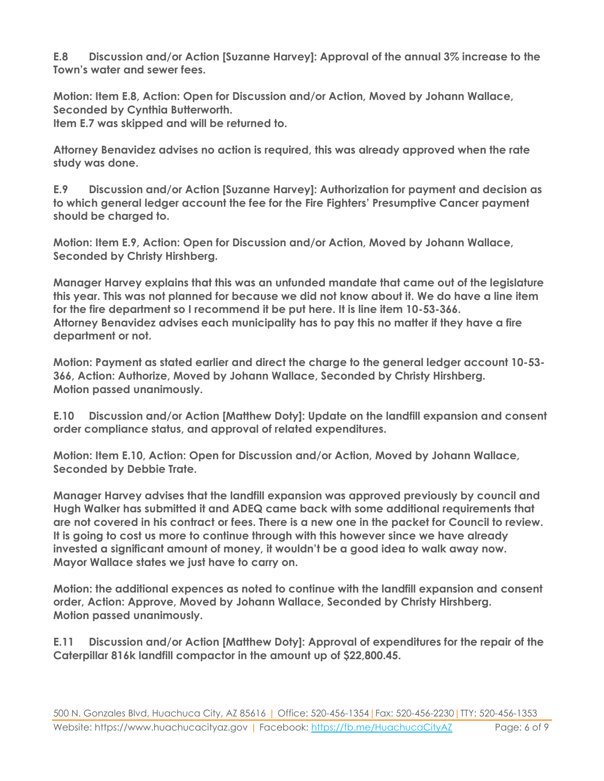**E.8 Discussion and/or Action [Suzanne Harvey]: Approval of the annual 3% increase to the Town's water and sewer fees.**

**Motion: Item E.8, Action: Open for Discussion and/or Action, Moved by Johann Wallace, Seconded by Cynthia Butterworth.**

**Item E.7 was skipped and will be returned to.**

**Attorney Benavidez advises no action is required, this was already approved when the rate study was done.**

**E.9 Discussion and/or Action [Suzanne Harvey]: Authorization for payment and decision as to which general ledger account the fee for the Fire Fighters' Presumptive Cancer payment should be charged to.**

**Motion: Item E.9, Action: Open for Discussion and/or Action, Moved by Johann Wallace, Seconded by Christy Hirshberg.**

**Manager Harvey explains that this was an unfunded mandate that came out of the legislature this year. This was not planned for because we did not know about it. We do have a line item for the fire department so I recommend it be put here. It is line item 10-53-366. Attorney Benavidez advises each municipality has to pay this no matter if they have a fire department or not.**

**Motion: Payment as stated earlier and direct the charge to the general ledger account 10-53- 366, Action: Authorize, Moved by Johann Wallace, Seconded by Christy Hirshberg. Motion passed unanimously.**

**E.10 Discussion and/or Action [Matthew Doty]: Update on the landfill expansion and consent order compliance status, and approval of related expenditures.**

**Motion: Item E.10, Action: Open for Discussion and/or Action, Moved by Johann Wallace, Seconded by Debbie Trate.**

**Manager Harvey advises that the landfill expansion was approved previously by council and Hugh Walker has submitted it and ADEQ came back with some additional requirements that are not covered in his contract or fees. There is a new one in the packet for Council to review. It is going to cost us more to continue through with this however since we have already invested a significant amount of money, it wouldn't be a good idea to walk away now. Mayor Wallace states we just have to carry on.**

**Motion: the additional expences as noted to continue with the landfill expansion and consent order, Action: Approve, Moved by Johann Wallace, Seconded by Christy Hirshberg. Motion passed unanimously.**

**E.11 Discussion and/or Action [Matthew Doty]: Approval of expenditures for the repair of the Caterpillar 816k landfill compactor in the amount up of \$22,800.45.**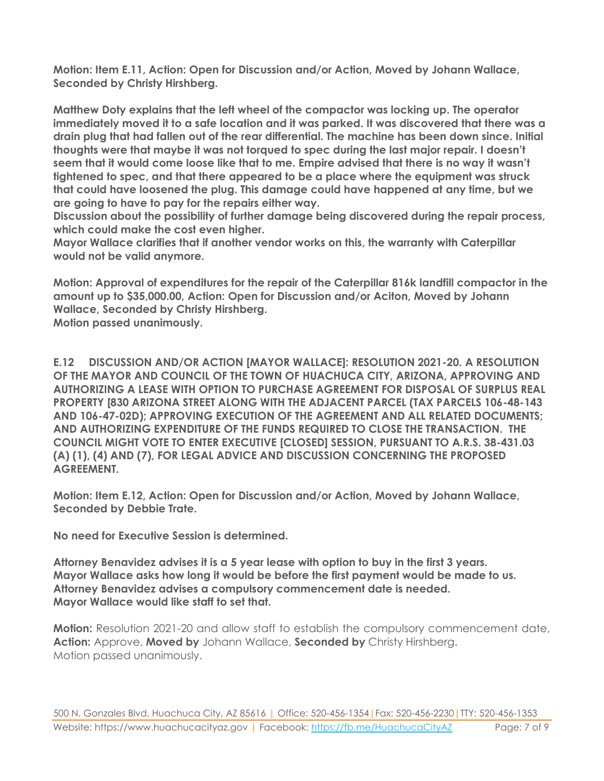**Motion: Item E.11, Action: Open for Discussion and/or Action, Moved by Johann Wallace, Seconded by Christy Hirshberg.**

**Matthew Doty explains that the left wheel of the compactor was locking up. The operator immediately moved it to a safe location and it was parked. It was discovered that there was a drain plug that had fallen out of the rear differential. The machine has been down since. Initial thoughts were that maybe it was not torqued to spec during the last major repair. I doesn't seem that it would come loose like that to me. Empire advised that there is no way it wasn't tightened to spec, and that there appeared to be a place where the equipment was struck that could have loosened the plug. This damage could have happened at any time, but we are going to have to pay for the repairs either way.** 

**Discussion about the possibility of further damage being discovered during the repair process, which could make the cost even higher.**

**Mayor Wallace clarifies that if another vendor works on this, the warranty with Caterpillar would not be valid anymore.** 

**Motion: Approval of expenditures for the repair of the Caterpillar 816k landfill compactor in the amount up to \$35,000.00, Action: Open for Discussion and/or Aciton, Moved by Johann Wallace, Seconded by Christy Hirshberg.**

**Motion passed unanimously.**

**E.12 DISCUSSION AND/OR ACTION [MAYOR WALLACE]: RESOLUTION 2021-20. A RESOLUTION OF THE MAYOR AND COUNCIL OF THE TOWN OF HUACHUCA CITY, ARIZONA, APPROVING AND AUTHORIZING A LEASE WITH OPTION TO PURCHASE AGREEMENT FOR DISPOSAL OF SURPLUS REAL PROPERTY [830 ARIZONA STREET ALONG WITH THE ADJACENT PARCEL (TAX PARCELS 106-48-143 AND 106-47-02D); APPROVING EXECUTION OF THE AGREEMENT AND ALL RELATED DOCUMENTS; AND AUTHORIZING EXPENDITURE OF THE FUNDS REQUIRED TO CLOSE THE TRANSACTION. THE COUNCIL MIGHT VOTE TO ENTER EXECUTIVE [CLOSED] SESSION, PURSUANT TO A.R.S. 38-431.03 (A) (1), (4) AND (7), FOR LEGAL ADVICE AND DISCUSSION CONCERNING THE PROPOSED AGREEMENT.** 

**Motion: Item E.12, Action: Open for Discussion and/or Action, Moved by Johann Wallace, Seconded by Debbie Trate.**

**No need for Executive Session is determined.**

**Attorney Benavidez advises it is a 5 year lease with option to buy in the first 3 years. Mayor Wallace asks how long it would be before the first payment would be made to us. Attorney Benavidez advises a compulsory commencement date is needed. Mayor Wallace would like staff to set that.**

**Motion:** Resolution 2021-20 and allow staff to establish the compulsory commencement date, **Action:** Approve, **Moved by** Johann Wallace, **Seconded by** Christy Hirshberg. Motion passed unanimously.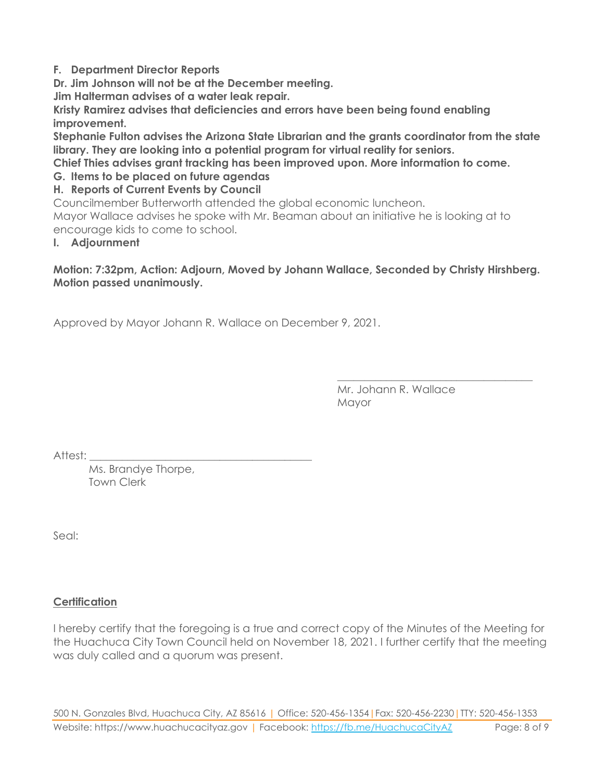# **F. Department Director Reports**

**Dr. Jim Johnson will not be at the December meeting.**

**Jim Halterman advises of a water leak repair.**

**Kristy Ramirez advises that deficiencies and errors have been being found enabling improvement.**

**Stephanie Fulton advises the Arizona State Librarian and the grants coordinator from the state library. They are looking into a potential program for virtual reality for seniors.**

**Chief Thies advises grant tracking has been improved upon. More information to come.**

# **G. Items to be placed on future agendas**

### **H. Reports of Current Events by Council**

Councilmember Butterworth attended the global economic luncheon.

Mayor Wallace advises he spoke with Mr. Beaman about an initiative he is looking at to encourage kids to come to school.

### **I. Adjournment**

# **Motion: 7:32pm, Action: Adjourn, Moved by Johann Wallace, Seconded by Christy Hirshberg. Motion passed unanimously.**

Approved by Mayor Johann R. Wallace on December 9, 2021.

Mr. Johann R. Wallace Mayor

\_\_\_\_\_\_\_\_\_\_\_\_\_\_\_\_\_\_\_\_\_\_\_\_\_\_\_\_\_\_\_\_\_\_\_\_

Attest:

Ms. Brandye Thorpe, Town Clerk

Seal:

# **Certification**

I hereby certify that the foregoing is a true and correct copy of the Minutes of the Meeting for the Huachuca City Town Council held on November 18, 2021. I further certify that the meeting was duly called and a quorum was present.